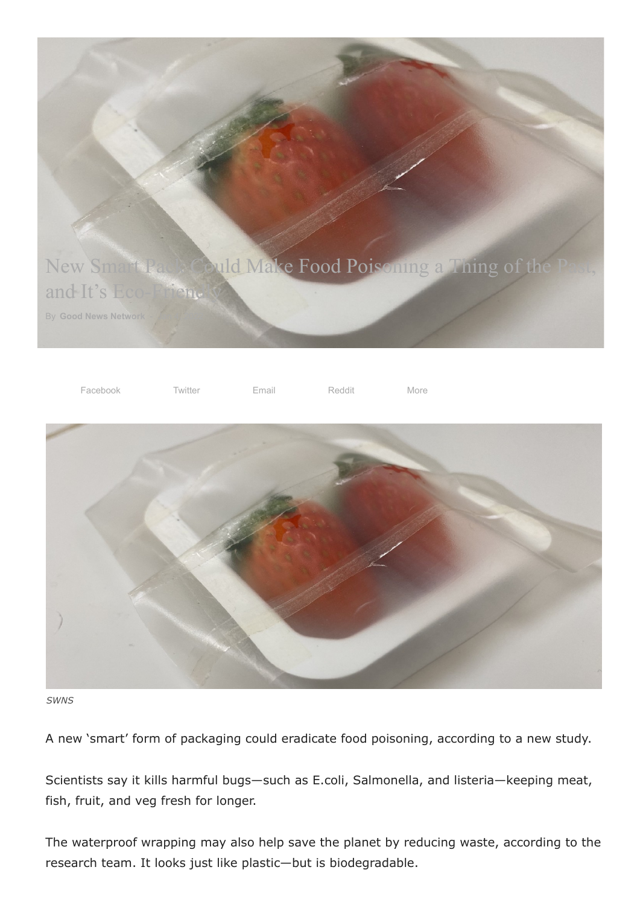





*SWNS*

A new 'smart' form of packaging could eradicate food poisoning, according to a new study.

Scientists say it kills harmful bugs—such as E.coli, Salmonella, and listeria—keeping meat, fish, fruit, and veg fresh for longer.

The waterproof wrapping may also help save the planet by reducing waste, according to the research team. It looks just like plastic—but is biodegradable.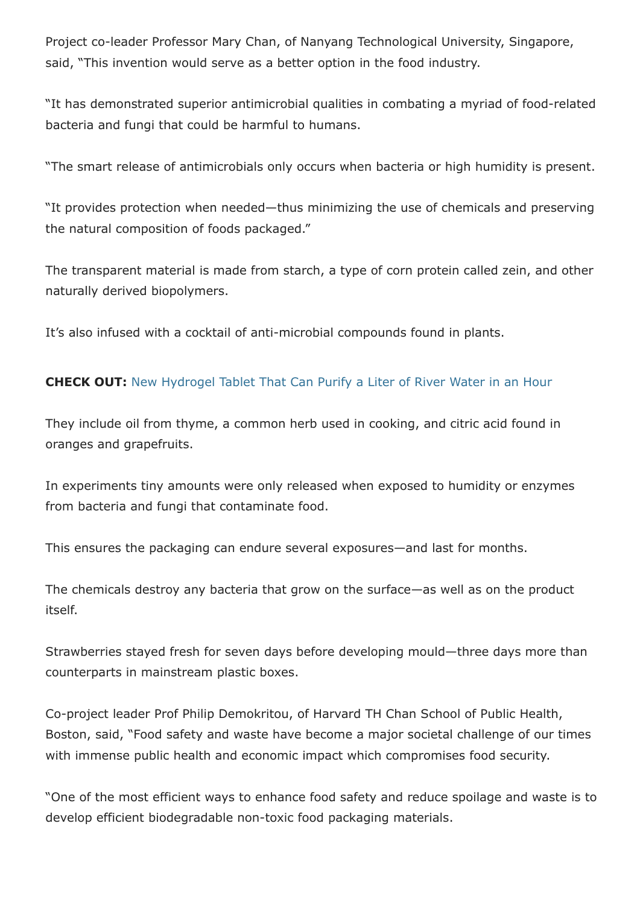Project co-leader Professor Mary Chan, of Nanyang Technological University, Singapore, said, "This invention would serve as a better option in the food industry.

"It has demonstrated superior antimicrobial qualities in combating a myriad of food-related bacteria and fungi that could be harmful to humans.

"The smart release of antimicrobials only occurs when bacteria or high humidity is present.

"It provides protection when needed—thus minimizing the use of chemicals and preserving the natural composition of foods packaged."

The transparent material is made from starch, a type of corn protein called zein, and other naturally derived biopolymers.

It's also infused with a cocktail of anti-microbial compounds found in plants.

## **CHECK OUT:** [New Hydrogel Tablet That Can Purify a Liter of River Water in an Hour](https://www.goodnewsnetwork.org/university-of-texas-hydrogel-tablet-river-water-purify/)

They include oil from thyme, a common herb used in cooking, and citric acid found in oranges and grapefruits.

In experiments tiny amounts were only released when exposed to humidity or enzymes from bacteria and fungi that contaminate food.

This ensures the packaging can endure several exposures—and last for months.

The chemicals destroy any bacteria that grow on the surface—as well as on the product itself.

Strawberries stayed fresh for seven days before developing mould—three days more than counterparts in mainstream plastic boxes.

Co-project leader Prof Philip Demokritou, of Harvard TH Chan School of Public Health, Boston, said, "Food safety and waste have become a major societal challenge of our times with immense public health and economic impact which compromises food security.

"One of the most efficient ways to enhance food safety and reduce spoilage and waste is to develop efficient biodegradable non-toxic food packaging materials.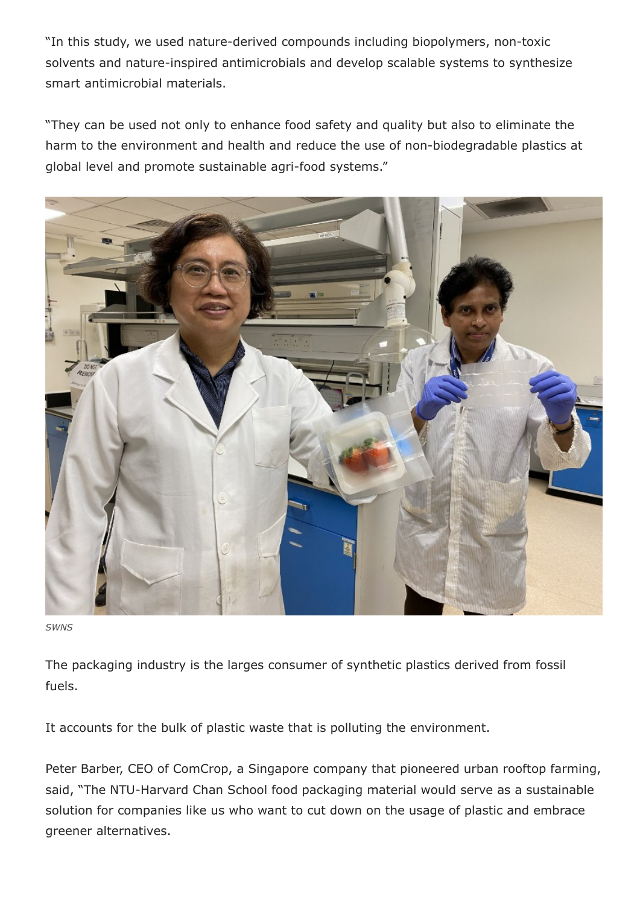"In this study, we used nature-derived compounds including biopolymers, non-toxic solvents and nature-inspired antimicrobials and develop scalable systems to synthesize smart antimicrobial materials.

"They can be used not only to enhance food safety and quality but also to eliminate the harm to the environment and health and reduce the use of non-biodegradable plastics at global level and promote sustainable agri-food systems."



*SWNS*

The packaging industry is the larges consumer of synthetic plastics derived from fossil fuels.

It accounts for the bulk of plastic waste that is polluting the environment.

Peter Barber, CEO of ComCrop, a Singapore company that pioneered urban rooftop farming, said, "The NTU-Harvard Chan School food packaging material would serve as a sustainable solution for companies like us who want to cut down on the usage of plastic and embrace greener alternatives.